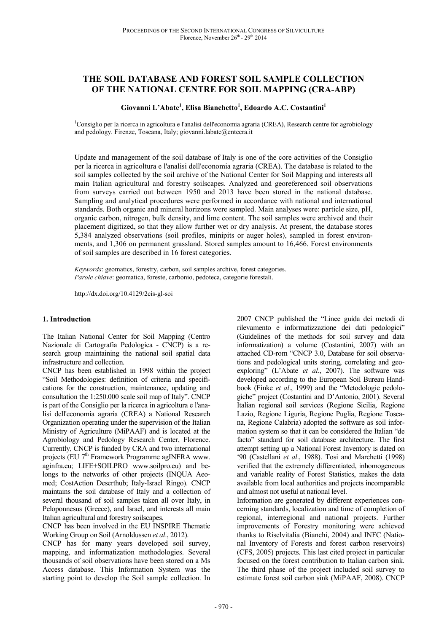# **THE SOIL DATABASE AND FOREST SOIL SAMPLE COLLECTION OF THE NATIONAL CENTRE FOR SOIL MAPPING (CRA-ABP)**

## **Giovanni L'Abate<sup>1</sup> , Elisa Bianchetto<sup>1</sup> , Edoardo A.C. Costantini<sup>1</sup>**

<sup>1</sup>Consiglio per la ricerca in agricoltura e l'analisi dell'economia agraria (CREA), Research centre for agrobiology and pedology. Firenze, Toscana, Italy; giovanni.labate@entecra.it

Update and management of the soil database of Italy is one of the core activities of the Consiglio per la ricerca in agricoltura e l'analisi dell'economia agraria (CREA). The database is related to the soil samples collected by the soil archive of the National Center for Soil Mapping and interests all main Italian agricultural and forestry soilscapes. Analyzed and georeferenced soil observations from surveys carried out between 1950 and 2013 have been stored in the national database. Sampling and analytical procedures were performed in accordance with national and international standards. Both organic and mineral horizons were sampled. Main analyses were: particle size, pH, organic carbon, nitrogen, bulk density, and lime content. The soil samples were archived and their placement digitized, so that they allow further wet or dry analysis. At present, the database stores 5,384 analyzed observations (soil profiles, minipits or auger holes), sampled in forest environments, and 1,306 on permanent grassland. Stored samples amount to 16,466. Forest environments of soil samples are described in 16 forest categories.

*Keywords*: geomatics, forestry, carbon, soil samples archive, forest categories. *Parole chiave*: geomatica, foreste, carbonio, pedoteca, categorie forestali.

http://dx.doi.org/10.4129/2cis-gl-soi

#### **1. Introduction**

The Italian National Center for Soil Mapping (Centro Nazionale di Cartografia Pedologica - CNCP) is a research group maintaining the national soil spatial data infrastructure and collection.

CNCP has been established in 1998 within the project "Soil Methodologies: definition of criteria and specifications for the construction, maintenance, updating and consultation the 1:250.000 scale soil map of Italy". CNCP is part of the Consiglio per la ricerca in agricoltura e l'analisi dell'economia agraria (CREA) a National Research Organization operating under the supervision of the Italian Ministry of Agriculture (MiPAAF) and is located at the Agrobiology and Pedology Research Center, Florence. Currently, CNCP is funded by CRA and two international projects (EU 7th Framework Programme agINFRA www. aginfra.eu; LIFE+SOILPRO www.soilpro.eu) and belongs to the networks of other projects (INOUA Aeomed; CostAction Deserthub; Italy-Israel Ringo). CNCP maintains the soil database of Italy and a collection of several thousand of soil samples taken all over Italy, in Peloponnesus (Greece), and Israel, and interests all main Italian agricultural and forestry soilscapes.

CNCP has been involved in the EU INSPIRE Thematic Working Group on Soil (Arnoldussen *et al*., 2012).

CNCP has for many years developed soil survey, mapping, and informatization methodologies. Several thousands of soil observations have been stored on a Ms Access database. This Information System was the starting point to develop the Soil sample collection. In

2007 CNCP published the "Linee guida dei metodi di rilevamento e informatizzazione dei dati pedologici" (Guidelines of the methods for soil survey and data informatization) a volume (Costantini, 2007) with an attached CD-rom "CNCP 3.0, Database for soil observations and pedological units storing, correlating and geoexploring" (L'Abate *et al*., 2007). The software was developed according to the European Soil Bureau Handbook (Finke *et al*., 1999) and the "Metodologie pedologiche" project (Costantini and D'Antonio, 2001). Several Italian regional soil services (Regione Sicilia, Regione Lazio, Regione Liguria, Regione Puglia, Regione Toscana, Regione Calabria) adopted the software as soil information system so that it can be considered the Italian "de facto" standard for soil database architecture. The first attempt setting up a National Forest Inventory is dated on '90 (Castellani *et al*., 1988). Tosi and Marchetti (1998) verified that the extremely differentiated, inhomogeneous and variable reality of Forest Statistics, makes the data available from local authorities and projects incomparable and almost not useful at national level.

Information are generated by different experiences concerning standards, localization and time of completion of regional, interregional and national projects. Further improvements of Forestry monitoring were achieved thanks to Riselvitalia (Bianchi, 2004) and INFC (National Inventory of Forests and forest carbon reservoirs) (CFS, 2005) projects. This last cited project in particular focused on the forest contribution to Italian carbon sink. The third phase of the project included soil survey to estimate forest soil carbon sink (MiPAAF, 2008). CNCP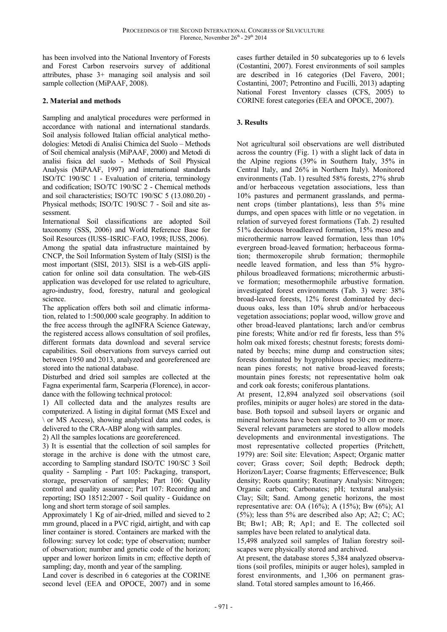has been involved into the National Inventory of Forests and Forest Carbon reservoirs survey of additional attributes, phase 3+ managing soil analysis and soil sample collection (MiPAAF, 2008).

# **2. Material and methods**

Sampling and analytical procedures were performed in accordance with national and international standards. Soil analysis followed Italian official analytical methodologies: Metodi di Analisi Chimica del Suolo – Methods of Soil chemical analysis (MiPAAF, 2000) and Metodi di analisi fisica del suolo - Methods of Soil Physical Analysis (MiPAAF, 1997) and international standards ISO/TC 190/SC 1 - Evaluation of criteria, terminology and codification; ISO/TC 190/SC 2 - Chemical methods and soil characteristics; ISO/TC 190/SC 5 (13.080.20) - Physical methods; ISO/TC 190/SC 7 - Soil and site assessment.

International Soil classifications are adopted Soil taxonomy (SSS, 2006) and World Reference Base for Soil Resources (IUSS–ISRIC–FAO, 1998; IUSS, 2006). Among the spatial data infrastructure maintained by CNCP, the Soil Information System of Italy (SISI) is the most important (SISI, 2013). SISI is a web-GIS application for online soil data consultation. The web-GIS application was developed for use related to agriculture, agro-industry, food, forestry, natural and geological science.

The application offers both soil and climatic information, related to 1:500,000 scale geography. In addition to the free access through the agINFRA Science Gateway, the registered access allows consultation of soil profiles, different formats data download and several service capabilities. Soil observations from surveys carried out between 1950 and 2013, analyzed and georeferenced are stored into the national database.

Disturbed and dried soil samples are collected at the Fagna experimental farm, Scarperia (Florence), in accordance with the following technical protocol:

1) All collected data and the analyzes results are computerized. A listing in digital format (MS Excel and \ or MS Access), showing analytical data and codes, is delivered to the CRA-ABP along with samples.

2) All the samples locations are georeferenced.

3) It is essential that the collection of soil samples for storage in the archive is done with the utmost care, according to Sampling standard ISO/TC 190/SC 3 Soil quality - Sampling - Part 105: Packaging, transport, storage, preservation of samples; Part 106: Quality control and quality assurance; Part 107: Recording and reporting; ISO 18512:2007 - Soil quality - Guidance on long and short term storage of soil samples.

Approximately 1 Kg of air-dried, milled and sieved to 2 mm ground, placed in a PVC rigid, airtight, and with cap liner container is stored. Containers are marked with the following: survey lot code; type of observation; number of observation; number and genetic code of the horizon; upper and lower horizon limits in cm; effective depth of sampling; day, month and year of the sampling.

Land cover is described in 6 categories at the CORINE second level (EEA and OPOCE, 2007) and in some

cases further detailed in 50 subcategories up to 6 levels (Costantini, 2007). Forest environments of soil samples are described in 16 categories (Del Favero, 2001; Costantini, 2007; Petrontino and Fucilli, 2013) adapting National Forest Inventory classes (CFS, 2005) to CORINE forest categories (EEA and OPOCE, 2007).

# **3. Results**

Not agricultural soil observations are well distributed across the country (Fig. 1) with a slight lack of data in the Alpine regions (39% in Southern Italy, 35% in Central Italy, and 26% in Northern Italy). Monitored environments (Tab. 1) resulted 58% forests, 27% shrub and/or herbaceous vegetation associations, less than 10% pastures and permanent grasslands, and permanent crops (timber plantations), less than 5% mine dumps, and open spaces with little or no vegetation. in relation of surveyed forest formations (Tab. 2) resulted 51% deciduous broadleaved formation, 15% meso and microthermic narrow leaved formation, less than 10% evergreen broad-leaved formation; herbaceous formation; thermoxeropile shrub formation; thermophile needle leaved formation, and less than 5% hygrophilous broadleaved formations; microthermic arbustive formation; mesothermophile arbustive formation. investigated forest environments (Tab. 3) were: 38% broad-leaved forests, 12% forest dominated by deciduous oaks, less than 10% shrub and/or herbaceous vegetation associations; poplar wood, willow grove and other broad-leaved plantations; larch and/or cembrus pine forests; White and/or red fir forests, less than 5% holm oak mixed forests; chestnut forests; forests dominated by beechs; mine dump and construction sites; forests dominated by hygrophilous species; mediterranean pines forests; not native broad-leaved forests; mountain pines forests; not representative holm oak and cork oak forests; coniferous plantations.

At present, 12,894 analyzed soil observations (soil profiles, minipits or auger holes) are stored in the database. Both topsoil and subsoil layers or organic and mineral horizons have been sampled to 30 cm or more. Several relevant parameters are stored to allow models developments and environmental investigations. The most representative collected properties (Pritchett, 1979) are: Soil site: Elevation; Aspect; Organic matter cover; Grass cover; Soil depth; Bedrock depth; Horizon/Layer; Coarse fragments; Effervescence; Bulk density; Roots quantity; Routinary Analysis: Nitrogen; Organic carbon; Carbonates; pH; textural analysis: Clay; Silt; Sand. Among genetic horizons, the most representative are: OA  $(16\%)$ ; A  $(15\%)$ ; Bw  $(6\%)$ ; A1  $(5\%)$ ; less than 5% are described also Ap; A2; C; AC; Bt; Bw1; AB; R; Ap1; and E. The collected soil samples have been related to analytical data.

15,498 analyzed soil samples of Italian forestry soilscapes were physically stored and archived.

At present, the database stores 5,384 analyzed observations (soil profiles, minipits or auger holes), sampled in forest environments, and 1,306 on permanent grassland. Total stored samples amount to 16,466.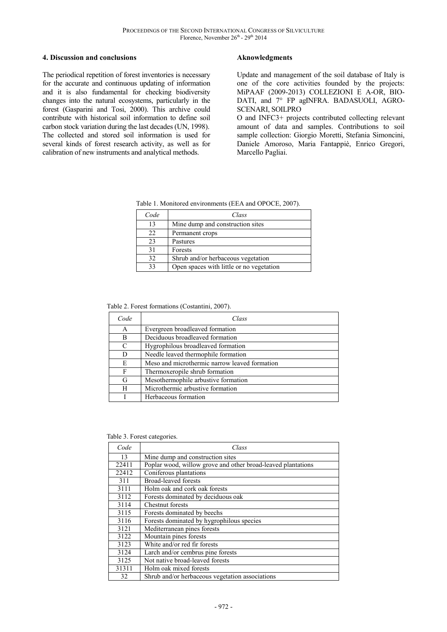#### **4. Discussion and conclusions**

The periodical repetition of forest inventories is necessary for the accurate and continuous updating of information and it is also fundamental for checking biodiversity changes into the natural ecosystems, particularly in the forest (Gasparini and Tosi, 2000). This archive could contribute with historical soil information to define soil carbon stock variation during the last decades (UN, 1998). The collected and stored soil information is used for several kinds of forest research activity, as well as for calibration of new instruments and analytical methods.

### **Aknowledgments**

Update and management of the soil database of Italy is one of the core activities founded by the projects: MiPAAF (2009-2013) COLLEZIONI E A-OR, BIO-DATI, and 7° FP agINFRA. BADASUOLI, AGRO-SCENARI, SOILPRO

O and INFC3+ projects contributed collecting relevant amount of data and samples. Contributions to soil sample collection: Giorgio Moretti, Stefania Simoncini, Daniele Amoroso, Maria Fantappiè, Enrico Gregori, Marcello Pagliai.

Table 1. Monitored environments (EEA and OPOCE, 2007).

| Code | Class                                    |
|------|------------------------------------------|
| 13   | Mine dump and construction sites         |
| 22.  | Permanent crops                          |
| 23   | Pastures                                 |
| 31   | Forests                                  |
| 32   | Shrub and/or herbaceous vegetation       |
| 33   | Open spaces with little or no vegetation |

Table 2. Forest formations (Costantini, 2007).

| Code | Class                                         |
|------|-----------------------------------------------|
| A    | Evergreen broadleaved formation               |
| в    | Deciduous broadleaved formation               |
| C    | Hygrophilous broadleaved formation            |
| D    | Needle leaved thermophile formation           |
| E    | Meso and microthermic narrow leaved formation |
| F    | Thermoxeropile shrub formation                |
| G    | Mesothermophile arbustive formation           |
| H    | Microthermic arbustive formation              |
|      | Herbaceous formation                          |

Table 3. Forest categories.

| Code  | Class                                                        |
|-------|--------------------------------------------------------------|
| 13    | Mine dump and construction sites                             |
| 22411 | Poplar wood, willow grove and other broad-leaved plantations |
| 22412 | Coniferous plantations                                       |
| 311   | <b>Broad-leaved forests</b>                                  |
| 3111  | Holm oak and cork oak forests                                |
| 3112  | Forests dominated by deciduous oak                           |
| 3114  | <b>Chestnut</b> forests                                      |
| 3115  | Forests dominated by beechs                                  |
| 3116  | Forests dominated by hygrophilous species                    |
| 3121  | Mediterranean pines forests                                  |
| 3122  | Mountain pines forests                                       |
| 3123  | White and/or red fir forests                                 |
| 3124  | Larch and/or cembrus pine forests                            |
| 3125  | Not native broad-leaved forests                              |
| 31311 | Holm oak mixed forests                                       |
| 32    | Shrub and/or herbaceous vegetation associations              |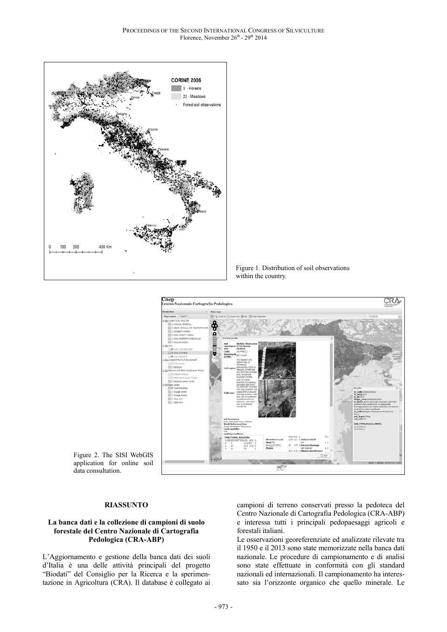

Figure 1. Distribution of soil observations within the country.



Figure 2. The SISI WebGIS application for online soil data consultation.

#### **RIASSUNTO**

#### **La banca dati e la collezione di campioni di suolo forestale del Centro Nazionale di Cartografia Pedologica (CRA-ABP)**

L'Aggiornamento e gestione della banca dati dei suoli d'Italia è una delle attività principali del progetto "Biodati" del Consiglio per la Ricerca e la sperimentazione in Agricoltura (CRA). Il database è collegato ai campioni di terreno conservati presso la pedoteca del Centro Nazionale di Cartografia Pedologica (CRA-ABP) e interessa tutti i principali pedopaesaggi agricoli e forestali italiani.

Le osservazioni georeferenziate ed analizzate rilevate tra il 1950 e il 2013 sono state memorizzate nella banca dati nazionale. Le procedure di campionamento e di analisi sono state effettuate in conformità con gli standard nazionali ed internazionali. Il campionamento ha interessato sia l'orizzonte organico che quello minerale. Le